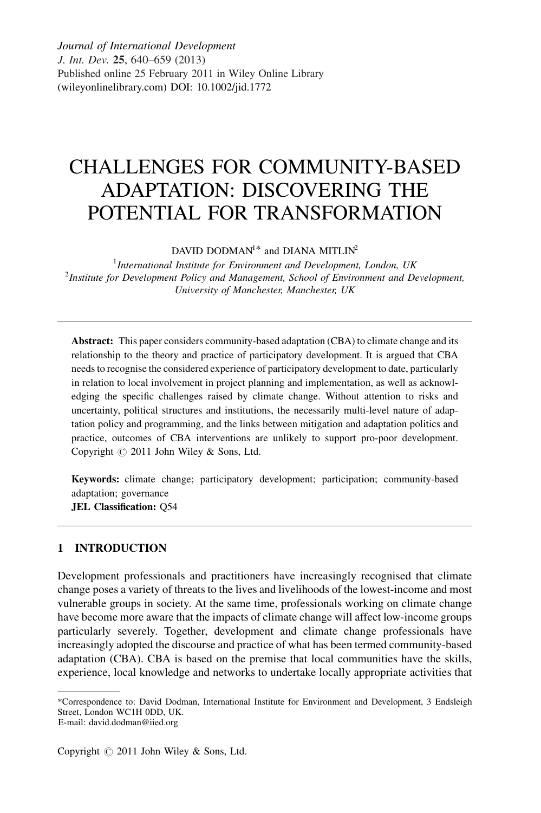Journal of International Development (wileyonlinelibrary.com) DOI: 10.1002/jid.1772 J. Int. Dev. 25, 640–659 (2013) Published online 25 February 2011 in Wiley Online Library

# CHALLENGES FOR COMMUNITY-BASED ADAPTATION: DISCOVERING THE POTENTIAL FOR TRANSFORMATION

DAVID DODMAN<sup>1\*</sup> and DIANA MITLIN<sup>2</sup>

<sup>1</sup>International Institute for Environment and Development, London, UK<br><sup>2</sup>Institute for Davelopment Policy and Management, School of Environment and Dev  $<sup>2</sup>$ Institute for Development Policy and Management, School of Environment and Development,</sup> University of Manchester, Manchester, UK

Abstract: This paper considers community-based adaptation (CBA) to climate change and its relationship to the theory and practice of participatory development. It is argued that CBA needs to recognise the considered experience of participatory development to date, particularly in relation to local involvement in project planning and implementation, as well as acknowledging the specific challenges raised by climate change. Without attention to risks and uncertainty, political structures and institutions, the necessarily multi-level nature of adaptation policy and programming, and the links between mitigation and adaptation politics and practice, outcomes of CBA interventions are unlikely to support pro-poor development. Copyright  $\odot$  2011 John Wiley & Sons, Ltd.

Keywords: climate change; participatory development; participation; community-based adaptation; governance

JEL Classification: Q54

## 1 INTRODUCTION

Development professionals and practitioners have increasingly recognised that climate change poses a variety of threats to the lives and livelihoods of the lowest-income and most vulnerable groups in society. At the same time, professionals working on climate change have become more aware that the impacts of climate change will affect low-income groups particularly severely. Together, development and climate change professionals have increasingly adopted the discourse and practice of what has been termed community-based adaptation (CBA). CBA is based on the premise that local communities have the skills, experience, local knowledge and networks to undertake locally appropriate activities that

<sup>\*</sup>Correspondence to: David Dodman, International Institute for Environment and Development, 3 Endsleigh Street, London WC1H 0DD, UK.

E-mail: david.dodman@iied.org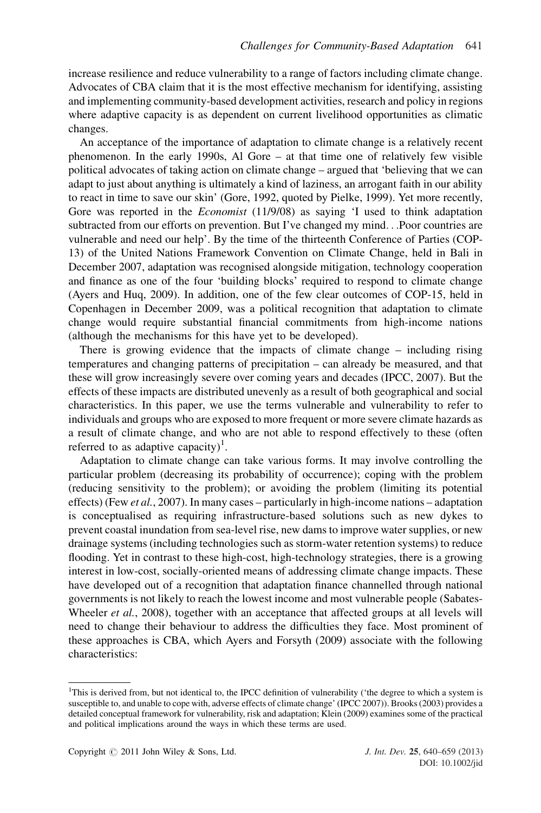increase resilience and reduce vulnerability to a range of factors including climate change. Advocates of CBA claim that it is the most effective mechanism for identifying, assisting and implementing community-based development activities, research and policy in regions where adaptive capacity is as dependent on current livelihood opportunities as climatic changes.

An acceptance of the importance of adaptation to climate change is a relatively recent phenomenon. In the early 1990s, Al Gore – at that time one of relatively few visible political advocates of taking action on climate change – argued that 'believing that we can adapt to just about anything is ultimately a kind of laziness, an arrogant faith in our ability to react in time to save our skin' (Gore, 1992, quoted by Pielke, 1999). Yet more recently, Gore was reported in the *Economist* (11/9/08) as saying 'I used to think adaptation subtracted from our efforts on prevention. But I've changed my mind...Poor countries are vulnerable and need our help'. By the time of the thirteenth Conference of Parties (COP-13) of the United Nations Framework Convention on Climate Change, held in Bali in December 2007, adaptation was recognised alongside mitigation, technology cooperation and finance as one of the four 'building blocks' required to respond to climate change (Ayers and Huq, 2009). In addition, one of the few clear outcomes of COP-15, held in Copenhagen in December 2009, was a political recognition that adaptation to climate change would require substantial financial commitments from high-income nations (although the mechanisms for this have yet to be developed).

There is growing evidence that the impacts of climate change – including rising temperatures and changing patterns of precipitation – can already be measured, and that these will grow increasingly severe over coming years and decades (IPCC, 2007). But the effects of these impacts are distributed unevenly as a result of both geographical and social characteristics. In this paper, we use the terms vulnerable and vulnerability to refer to individuals and groups who are exposed to more frequent or more severe climate hazards as a result of climate change, and who are not able to respond effectively to these (often referred to as adaptive capacity)<sup>1</sup>.

Adaptation to climate change can take various forms. It may involve controlling the particular problem (decreasing its probability of occurrence); coping with the problem (reducing sensitivity to the problem); or avoiding the problem (limiting its potential effects) (Few *et al.*, 2007). In many cases – particularly in high-income nations – adaptation is conceptualised as requiring infrastructure-based solutions such as new dykes to prevent coastal inundation from sea-level rise, new dams to improve water supplies, or new drainage systems (including technologies such as storm-water retention systems) to reduce flooding. Yet in contrast to these high-cost, high-technology strategies, there is a growing interest in low-cost, socially-oriented means of addressing climate change impacts. These have developed out of a recognition that adaptation finance channelled through national governments is not likely to reach the lowest income and most vulnerable people (Sabates-Wheeler et al., 2008), together with an acceptance that affected groups at all levels will need to change their behaviour to address the difficulties they face. Most prominent of these approaches is CBA, which Ayers and Forsyth (2009) associate with the following characteristics:

<sup>&</sup>lt;sup>1</sup>This is derived from, but not identical to, the IPCC definition of vulnerability ('the degree to which a system is susceptible to, and unable to cope with, adverse effects of climate change' (IPCC 2007)). Brooks (2003) provides a detailed conceptual framework for vulnerability, risk and adaptation; Klein (2009) examines some of the practical and political implications around the ways in which these terms are used.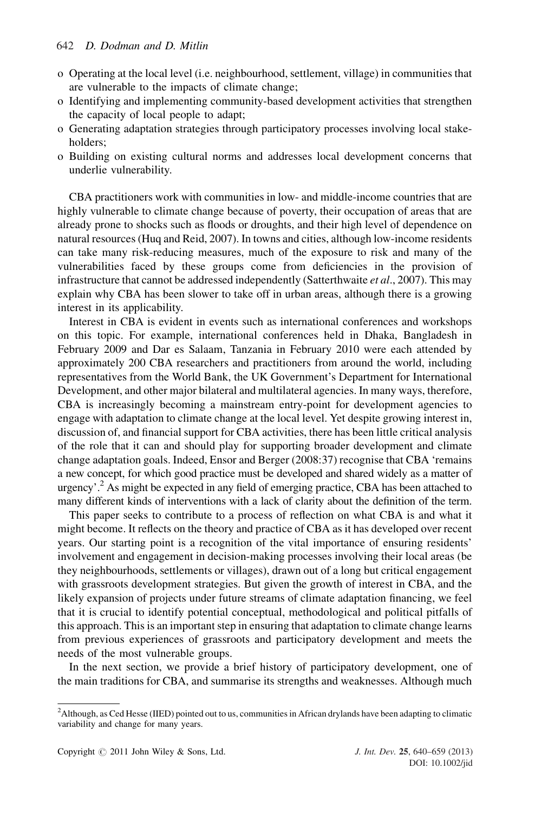- o Operating at the local level (i.e. neighbourhood, settlement, village) in communities that are vulnerable to the impacts of climate change;
- o Identifying and implementing community-based development activities that strengthen the capacity of local people to adapt;
- o Generating adaptation strategies through participatory processes involving local stakeholders;
- o Building on existing cultural norms and addresses local development concerns that underlie vulnerability.

CBA practitioners work with communities in low- and middle-income countries that are highly vulnerable to climate change because of poverty, their occupation of areas that are already prone to shocks such as floods or droughts, and their high level of dependence on natural resources (Huq and Reid, 2007). In towns and cities, although low-income residents can take many risk-reducing measures, much of the exposure to risk and many of the vulnerabilities faced by these groups come from deficiencies in the provision of infrastructure that cannot be addressed independently (Satterthwaite  $et al., 2007$ ). This may explain why CBA has been slower to take off in urban areas, although there is a growing interest in its applicability.

Interest in CBA is evident in events such as international conferences and workshops on this topic. For example, international conferences held in Dhaka, Bangladesh in February 2009 and Dar es Salaam, Tanzania in February 2010 were each attended by approximately 200 CBA researchers and practitioners from around the world, including representatives from the World Bank, the UK Government's Department for International Development, and other major bilateral and multilateral agencies. In many ways, therefore, CBA is increasingly becoming a mainstream entry-point for development agencies to engage with adaptation to climate change at the local level. Yet despite growing interest in, discussion of, and financial support for CBA activities, there has been little critical analysis of the role that it can and should play for supporting broader development and climate change adaptation goals. Indeed, Ensor and Berger (2008:37) recognise that CBA 'remains a new concept, for which good practice must be developed and shared widely as a matter of urgency'.<sup>2</sup> As might be expected in any field of emerging practice, CBA has been attached to many different kinds of interventions with a lack of clarity about the definition of the term.

This paper seeks to contribute to a process of reflection on what CBA is and what it might become. It reflects on the theory and practice of CBA as it has developed over recent years. Our starting point is a recognition of the vital importance of ensuring residents' involvement and engagement in decision-making processes involving their local areas (be they neighbourhoods, settlements or villages), drawn out of a long but critical engagement with grassroots development strategies. But given the growth of interest in CBA, and the likely expansion of projects under future streams of climate adaptation financing, we feel that it is crucial to identify potential conceptual, methodological and political pitfalls of this approach. This is an important step in ensuring that adaptation to climate change learns from previous experiences of grassroots and participatory development and meets the needs of the most vulnerable groups.

In the next section, we provide a brief history of participatory development, one of the main traditions for CBA, and summarise its strengths and weaknesses. Although much

<sup>2</sup> Although, as Ced Hesse (IIED) pointed out to us, communities in African drylands have been adapting to climatic variability and change for many years.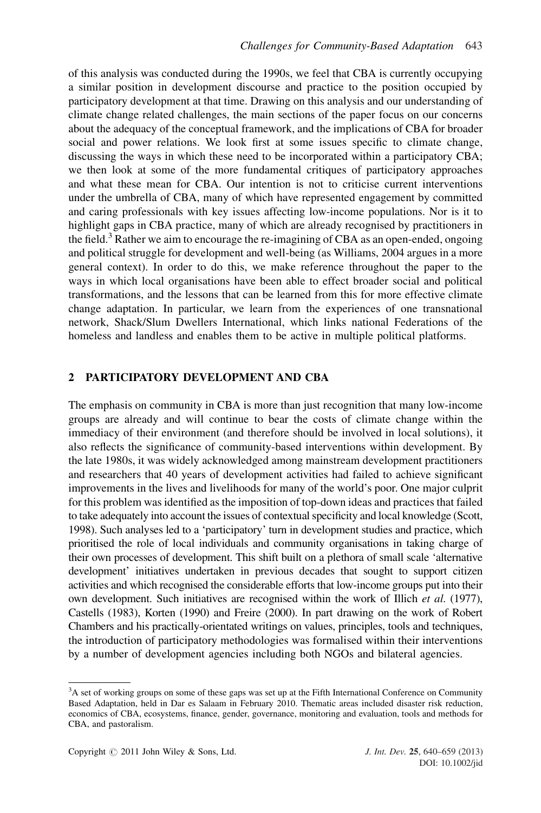of this analysis was conducted during the 1990s, we feel that CBA is currently occupying a similar position in development discourse and practice to the position occupied by participatory development at that time. Drawing on this analysis and our understanding of climate change related challenges, the main sections of the paper focus on our concerns about the adequacy of the conceptual framework, and the implications of CBA for broader social and power relations. We look first at some issues specific to climate change, discussing the ways in which these need to be incorporated within a participatory CBA; we then look at some of the more fundamental critiques of participatory approaches and what these mean for CBA. Our intention is not to criticise current interventions under the umbrella of CBA, many of which have represented engagement by committed and caring professionals with key issues affecting low-income populations. Nor is it to highlight gaps in CBA practice, many of which are already recognised by practitioners in the field.<sup>3</sup> Rather we aim to encourage the re-imagining of CBA as an open-ended, ongoing and political struggle for development and well-being (as Williams, 2004 argues in a more general context). In order to do this, we make reference throughout the paper to the ways in which local organisations have been able to effect broader social and political transformations, and the lessons that can be learned from this for more effective climate change adaptation. In particular, we learn from the experiences of one transnational network, Shack/Slum Dwellers International, which links national Federations of the homeless and landless and enables them to be active in multiple political platforms.

## 2 PARTICIPATORY DEVELOPMENT AND CBA

The emphasis on community in CBA is more than just recognition that many low-income groups are already and will continue to bear the costs of climate change within the immediacy of their environment (and therefore should be involved in local solutions), it also reflects the significance of community-based interventions within development. By the late 1980s, it was widely acknowledged among mainstream development practitioners and researchers that 40 years of development activities had failed to achieve significant improvements in the lives and livelihoods for many of the world's poor. One major culprit for this problem was identified as the imposition of top-down ideas and practices that failed to take adequately into account the issues of contextual specificity and local knowledge (Scott, 1998). Such analyses led to a 'participatory' turn in development studies and practice, which prioritised the role of local individuals and community organisations in taking charge of their own processes of development. This shift built on a plethora of small scale 'alternative development' initiatives undertaken in previous decades that sought to support citizen activities and which recognised the considerable efforts that low-income groups put into their own development. Such initiatives are recognised within the work of Illich et al. (1977), Castells (1983), Korten (1990) and Freire (2000). In part drawing on the work of Robert Chambers and his practically-orientated writings on values, principles, tools and techniques, the introduction of participatory methodologies was formalised within their interventions by a number of development agencies including both NGOs and bilateral agencies.

 $3A$  set of working groups on some of these gaps was set up at the Fifth International Conference on Community Based Adaptation, held in Dar es Salaam in February 2010. Thematic areas included disaster risk reduction, economics of CBA, ecosystems, finance, gender, governance, monitoring and evaluation, tools and methods for CBA, and pastoralism.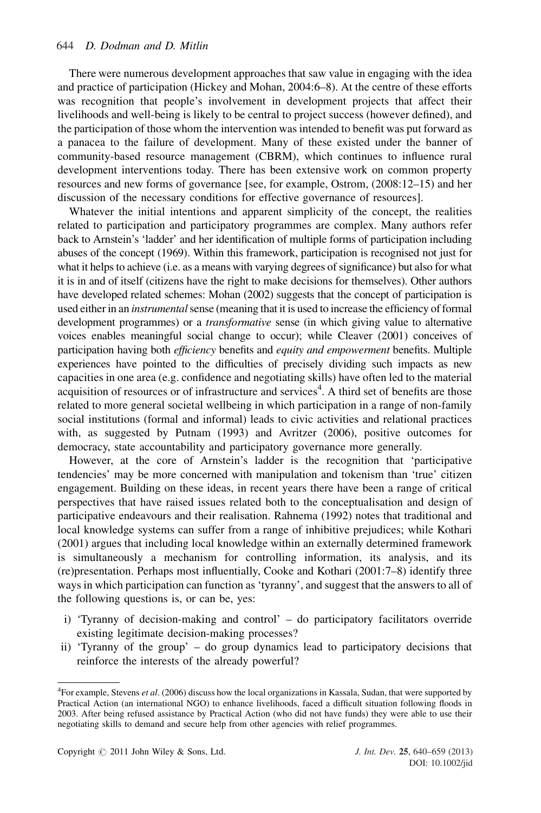There were numerous development approaches that saw value in engaging with the idea and practice of participation (Hickey and Mohan, 2004:6–8). At the centre of these efforts was recognition that people's involvement in development projects that affect their livelihoods and well-being is likely to be central to project success (however defined), and the participation of those whom the intervention was intended to benefit was put forward as a panacea to the failure of development. Many of these existed under the banner of community-based resource management (CBRM), which continues to influence rural development interventions today. There has been extensive work on common property resources and new forms of governance [see, for example, Ostrom, (2008:12–15) and her discussion of the necessary conditions for effective governance of resources].

Whatever the initial intentions and apparent simplicity of the concept, the realities related to participation and participatory programmes are complex. Many authors refer back to Arnstein's 'ladder' and her identification of multiple forms of participation including abuses of the concept (1969). Within this framework, participation is recognised not just for what it helps to achieve (i.e. as a means with varying degrees of significance) but also for what it is in and of itself (citizens have the right to make decisions for themselves). Other authors have developed related schemes: Mohan (2002) suggests that the concept of participation is used either in an *instrumental* sense (meaning that it is used to increase the efficiency of formal development programmes) or a *transformative* sense (in which giving value to alternative voices enables meaningful social change to occur); while Cleaver (2001) conceives of participation having both *efficiency* benefits and *equity and empowerment* benefits. Multiple experiences have pointed to the difficulties of precisely dividing such impacts as new capacities in one area (e.g. confidence and negotiating skills) have often led to the material acquisition of resources or of infrastructure and services<sup>4</sup>. A third set of benefits are those related to more general societal wellbeing in which participation in a range of non-family social institutions (formal and informal) leads to civic activities and relational practices with, as suggested by Putnam (1993) and Avritzer (2006), positive outcomes for democracy, state accountability and participatory governance more generally.

However, at the core of Arnstein's ladder is the recognition that 'participative tendencies' may be more concerned with manipulation and tokenism than 'true' citizen engagement. Building on these ideas, in recent years there have been a range of critical perspectives that have raised issues related both to the conceptualisation and design of participative endeavours and their realisation. Rahnema (1992) notes that traditional and local knowledge systems can suffer from a range of inhibitive prejudices; while Kothari (2001) argues that including local knowledge within an externally determined framework is simultaneously a mechanism for controlling information, its analysis, and its (re)presentation. Perhaps most influentially, Cooke and Kothari (2001:7–8) identify three ways in which participation can function as 'tyranny', and suggest that the answers to all of the following questions is, or can be, yes:

- i) 'Tyranny of decision-making and control' do participatory facilitators override existing legitimate decision-making processes?
- ii) 'Tyranny of the group' do group dynamics lead to participatory decisions that reinforce the interests of the already powerful?

<sup>&</sup>lt;sup>4</sup> For example, Stevens *et al.* (2006) discuss how the local organizations in Kassala, Sudan, that were supported by Practical Action (an international NGO) to enhance livelihoods, faced a difficult situation following floods in 2003. After being refused assistance by Practical Action (who did not have funds) they were able to use their negotiating skills to demand and secure help from other agencies with relief programmes.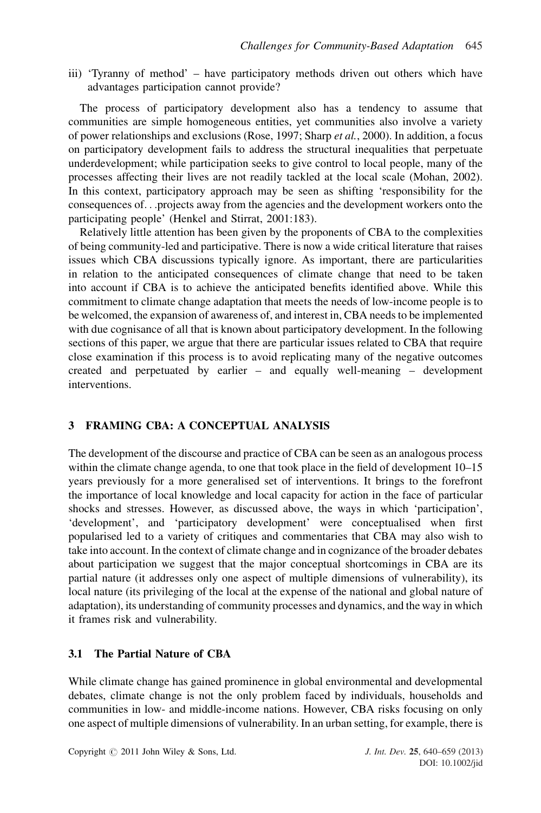iii) 'Tyranny of method' – have participatory methods driven out others which have advantages participation cannot provide?

The process of participatory development also has a tendency to assume that communities are simple homogeneous entities, yet communities also involve a variety of power relationships and exclusions (Rose, 1997; Sharp et al., 2000). In addition, a focus on participatory development fails to address the structural inequalities that perpetuate underdevelopment; while participation seeks to give control to local people, many of the processes affecting their lives are not readily tackled at the local scale (Mohan, 2002). In this context, participatory approach may be seen as shifting 'responsibility for the consequences of...projects away from the agencies and the development workers onto the participating people' (Henkel and Stirrat, 2001:183).

Relatively little attention has been given by the proponents of CBA to the complexities of being community-led and participative. There is now a wide critical literature that raises issues which CBA discussions typically ignore. As important, there are particularities in relation to the anticipated consequences of climate change that need to be taken into account if CBA is to achieve the anticipated benefits identified above. While this commitment to climate change adaptation that meets the needs of low-income people is to be welcomed, the expansion of awareness of, and interest in, CBA needs to be implemented with due cognisance of all that is known about participatory development. In the following sections of this paper, we argue that there are particular issues related to CBA that require close examination if this process is to avoid replicating many of the negative outcomes created and perpetuated by earlier – and equally well-meaning – development interventions.

## 3 FRAMING CBA: A CONCEPTUAL ANALYSIS

The development of the discourse and practice of CBA can be seen as an analogous process within the climate change agenda, to one that took place in the field of development 10–15 years previously for a more generalised set of interventions. It brings to the forefront the importance of local knowledge and local capacity for action in the face of particular shocks and stresses. However, as discussed above, the ways in which 'participation', 'development', and 'participatory development' were conceptualised when first popularised led to a variety of critiques and commentaries that CBA may also wish to take into account. In the context of climate change and in cognizance of the broader debates about participation we suggest that the major conceptual shortcomings in CBA are its partial nature (it addresses only one aspect of multiple dimensions of vulnerability), its local nature (its privileging of the local at the expense of the national and global nature of adaptation), its understanding of community processes and dynamics, and the way in which it frames risk and vulnerability.

# 3.1 The Partial Nature of CBA

While climate change has gained prominence in global environmental and developmental debates, climate change is not the only problem faced by individuals, households and communities in low- and middle-income nations. However, CBA risks focusing on only one aspect of multiple dimensions of vulnerability. In an urban setting, for example, there is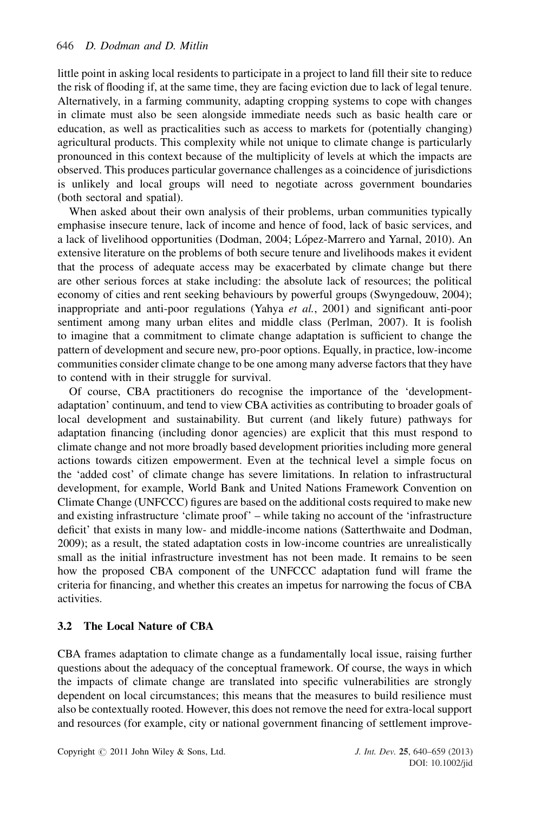little point in asking local residents to participate in a project to land fill their site to reduce the risk of flooding if, at the same time, they are facing eviction due to lack of legal tenure. Alternatively, in a farming community, adapting cropping systems to cope with changes in climate must also be seen alongside immediate needs such as basic health care or education, as well as practicalities such as access to markets for (potentially changing) agricultural products. This complexity while not unique to climate change is particularly pronounced in this context because of the multiplicity of levels at which the impacts are observed. This produces particular governance challenges as a coincidence of jurisdictions is unlikely and local groups will need to negotiate across government boundaries (both sectoral and spatial).

When asked about their own analysis of their problems, urban communities typically emphasise insecure tenure, lack of income and hence of food, lack of basic services, and a lack of livelihood opportunities (Dodman, 2004; López-Marrero and Yarnal, 2010). An extensive literature on the problems of both secure tenure and livelihoods makes it evident that the process of adequate access may be exacerbated by climate change but there are other serious forces at stake including: the absolute lack of resources; the political economy of cities and rent seeking behaviours by powerful groups (Swyngedouw, 2004); inappropriate and anti-poor regulations (Yahya et al., 2001) and significant anti-poor sentiment among many urban elites and middle class (Perlman, 2007). It is foolish to imagine that a commitment to climate change adaptation is sufficient to change the pattern of development and secure new, pro-poor options. Equally, in practice, low-income communities consider climate change to be one among many adverse factors that they have to contend with in their struggle for survival.

Of course, CBA practitioners do recognise the importance of the 'developmentadaptation' continuum, and tend to view CBA activities as contributing to broader goals of local development and sustainability. But current (and likely future) pathways for adaptation financing (including donor agencies) are explicit that this must respond to climate change and not more broadly based development priorities including more general actions towards citizen empowerment. Even at the technical level a simple focus on the 'added cost' of climate change has severe limitations. In relation to infrastructural development, for example, World Bank and United Nations Framework Convention on Climate Change (UNFCCC) figures are based on the additional costs required to make new and existing infrastructure 'climate proof' – while taking no account of the 'infrastructure deficit' that exists in many low- and middle-income nations (Satterthwaite and Dodman, 2009); as a result, the stated adaptation costs in low-income countries are unrealistically small as the initial infrastructure investment has not been made. It remains to be seen how the proposed CBA component of the UNFCCC adaptation fund will frame the criteria for financing, and whether this creates an impetus for narrowing the focus of CBA activities.

#### 3.2 The Local Nature of CBA

CBA frames adaptation to climate change as a fundamentally local issue, raising further questions about the adequacy of the conceptual framework. Of course, the ways in which the impacts of climate change are translated into specific vulnerabilities are strongly dependent on local circumstances; this means that the measures to build resilience must also be contextually rooted. However, this does not remove the need for extra-local support and resources (for example, city or national government financing of settlement improve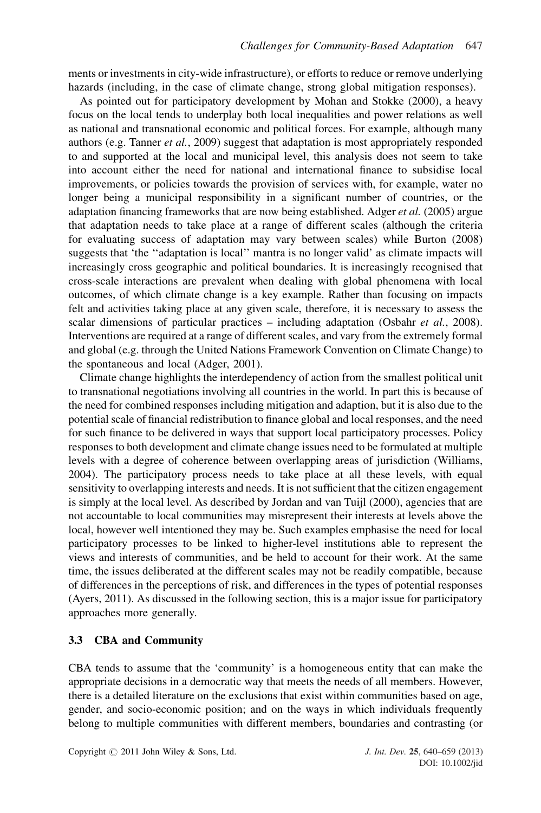ments or investments in city-wide infrastructure), or efforts to reduce or remove underlying hazards (including, in the case of climate change, strong global mitigation responses).

As pointed out for participatory development by Mohan and Stokke (2000), a heavy focus on the local tends to underplay both local inequalities and power relations as well as national and transnational economic and political forces. For example, although many authors (e.g. Tanner et al., 2009) suggest that adaptation is most appropriately responded to and supported at the local and municipal level, this analysis does not seem to take into account either the need for national and international finance to subsidise local improvements, or policies towards the provision of services with, for example, water no longer being a municipal responsibility in a significant number of countries, or the adaptation financing frameworks that are now being established. Adger *et al.* (2005) argue that adaptation needs to take place at a range of different scales (although the criteria for evaluating success of adaptation may vary between scales) while Burton (2008) suggests that 'the ''adaptation is local'' mantra is no longer valid' as climate impacts will increasingly cross geographic and political boundaries. It is increasingly recognised that cross-scale interactions are prevalent when dealing with global phenomena with local outcomes, of which climate change is a key example. Rather than focusing on impacts felt and activities taking place at any given scale, therefore, it is necessary to assess the scalar dimensions of particular practices – including adaptation (Osbahr *et al.*, 2008). Interventions are required at a range of different scales, and vary from the extremely formal and global (e.g. through the United Nations Framework Convention on Climate Change) to the spontaneous and local (Adger, 2001).

Climate change highlights the interdependency of action from the smallest political unit to transnational negotiations involving all countries in the world. In part this is because of the need for combined responses including mitigation and adaption, but it is also due to the potential scale of financial redistribution to finance global and local responses, and the need for such finance to be delivered in ways that support local participatory processes. Policy responses to both development and climate change issues need to be formulated at multiple levels with a degree of coherence between overlapping areas of jurisdiction (Williams, 2004). The participatory process needs to take place at all these levels, with equal sensitivity to overlapping interests and needs. It is not sufficient that the citizen engagement is simply at the local level. As described by Jordan and van Tuijl (2000), agencies that are not accountable to local communities may misrepresent their interests at levels above the local, however well intentioned they may be. Such examples emphasise the need for local participatory processes to be linked to higher-level institutions able to represent the views and interests of communities, and be held to account for their work. At the same time, the issues deliberated at the different scales may not be readily compatible, because of differences in the perceptions of risk, and differences in the types of potential responses (Ayers, 2011). As discussed in the following section, this is a major issue for participatory approaches more generally.

## 3.3 CBA and Community

CBA tends to assume that the 'community' is a homogeneous entity that can make the appropriate decisions in a democratic way that meets the needs of all members. However, there is a detailed literature on the exclusions that exist within communities based on age, gender, and socio-economic position; and on the ways in which individuals frequently belong to multiple communities with different members, boundaries and contrasting (or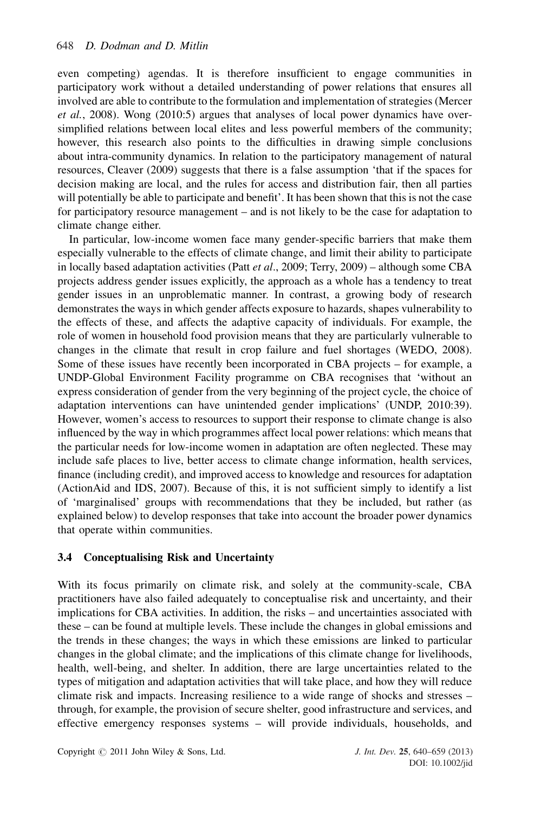even competing) agendas. It is therefore insufficient to engage communities in participatory work without a detailed understanding of power relations that ensures all involved are able to contribute to the formulation and implementation of strategies (Mercer  $et al., 2008$ . Wong  $(2010:5)$  argues that analyses of local power dynamics have oversimplified relations between local elites and less powerful members of the community; however, this research also points to the difficulties in drawing simple conclusions about intra-community dynamics. In relation to the participatory management of natural resources, Cleaver (2009) suggests that there is a false assumption 'that if the spaces for decision making are local, and the rules for access and distribution fair, then all parties will potentially be able to participate and benefit'. It has been shown that this is not the case for participatory resource management – and is not likely to be the case for adaptation to climate change either.

In particular, low-income women face many gender-specific barriers that make them especially vulnerable to the effects of climate change, and limit their ability to participate in locally based adaptation activities (Patt et al., 2009; Terry, 2009) – although some CBA projects address gender issues explicitly, the approach as a whole has a tendency to treat gender issues in an unproblematic manner. In contrast, a growing body of research demonstrates the ways in which gender affects exposure to hazards, shapes vulnerability to the effects of these, and affects the adaptive capacity of individuals. For example, the role of women in household food provision means that they are particularly vulnerable to changes in the climate that result in crop failure and fuel shortages (WEDO, 2008). Some of these issues have recently been incorporated in CBA projects – for example, a UNDP-Global Environment Facility programme on CBA recognises that 'without an express consideration of gender from the very beginning of the project cycle, the choice of adaptation interventions can have unintended gender implications' (UNDP, 2010:39). However, women's access to resources to support their response to climate change is also influenced by the way in which programmes affect local power relations: which means that the particular needs for low-income women in adaptation are often neglected. These may include safe places to live, better access to climate change information, health services, finance (including credit), and improved access to knowledge and resources for adaptation (ActionAid and IDS, 2007). Because of this, it is not sufficient simply to identify a list of 'marginalised' groups with recommendations that they be included, but rather (as explained below) to develop responses that take into account the broader power dynamics that operate within communities.

## 3.4 Conceptualising Risk and Uncertainty

With its focus primarily on climate risk, and solely at the community-scale, CBA practitioners have also failed adequately to conceptualise risk and uncertainty, and their implications for CBA activities. In addition, the risks – and uncertainties associated with these – can be found at multiple levels. These include the changes in global emissions and the trends in these changes; the ways in which these emissions are linked to particular changes in the global climate; and the implications of this climate change for livelihoods, health, well-being, and shelter. In addition, there are large uncertainties related to the types of mitigation and adaptation activities that will take place, and how they will reduce climate risk and impacts. Increasing resilience to a wide range of shocks and stresses – through, for example, the provision of secure shelter, good infrastructure and services, and effective emergency responses systems – will provide individuals, households, and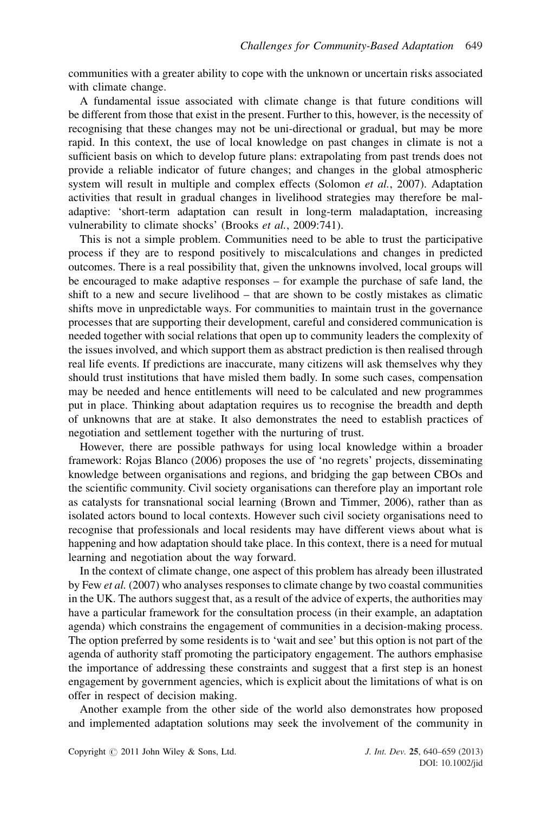communities with a greater ability to cope with the unknown or uncertain risks associated with climate change.

A fundamental issue associated with climate change is that future conditions will be different from those that exist in the present. Further to this, however, is the necessity of recognising that these changes may not be uni-directional or gradual, but may be more rapid. In this context, the use of local knowledge on past changes in climate is not a sufficient basis on which to develop future plans: extrapolating from past trends does not provide a reliable indicator of future changes; and changes in the global atmospheric system will result in multiple and complex effects (Solomon et al., 2007). Adaptation activities that result in gradual changes in livelihood strategies may therefore be maladaptive: 'short-term adaptation can result in long-term maladaptation, increasing vulnerability to climate shocks' (Brooks et al., 2009:741).

This is not a simple problem. Communities need to be able to trust the participative process if they are to respond positively to miscalculations and changes in predicted outcomes. There is a real possibility that, given the unknowns involved, local groups will be encouraged to make adaptive responses – for example the purchase of safe land, the shift to a new and secure livelihood – that are shown to be costly mistakes as climatic shifts move in unpredictable ways. For communities to maintain trust in the governance processes that are supporting their development, careful and considered communication is needed together with social relations that open up to community leaders the complexity of the issues involved, and which support them as abstract prediction is then realised through real life events. If predictions are inaccurate, many citizens will ask themselves why they should trust institutions that have misled them badly. In some such cases, compensation may be needed and hence entitlements will need to be calculated and new programmes put in place. Thinking about adaptation requires us to recognise the breadth and depth of unknowns that are at stake. It also demonstrates the need to establish practices of negotiation and settlement together with the nurturing of trust.

However, there are possible pathways for using local knowledge within a broader framework: Rojas Blanco (2006) proposes the use of 'no regrets' projects, disseminating knowledge between organisations and regions, and bridging the gap between CBOs and the scientific community. Civil society organisations can therefore play an important role as catalysts for transnational social learning (Brown and Timmer, 2006), rather than as isolated actors bound to local contexts. However such civil society organisations need to recognise that professionals and local residents may have different views about what is happening and how adaptation should take place. In this context, there is a need for mutual learning and negotiation about the way forward.

In the context of climate change, one aspect of this problem has already been illustrated by Few et al. (2007) who analyses responses to climate change by two coastal communities in the UK. The authors suggest that, as a result of the advice of experts, the authorities may have a particular framework for the consultation process (in their example, an adaptation agenda) which constrains the engagement of communities in a decision-making process. The option preferred by some residents is to 'wait and see' but this option is not part of the agenda of authority staff promoting the participatory engagement. The authors emphasise the importance of addressing these constraints and suggest that a first step is an honest engagement by government agencies, which is explicit about the limitations of what is on offer in respect of decision making.

Another example from the other side of the world also demonstrates how proposed and implemented adaptation solutions may seek the involvement of the community in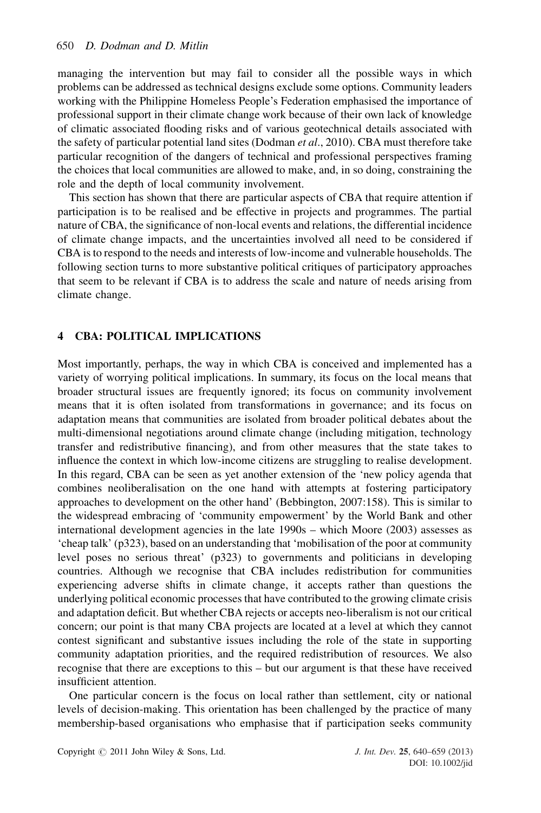managing the intervention but may fail to consider all the possible ways in which problems can be addressed as technical designs exclude some options. Community leaders working with the Philippine Homeless People's Federation emphasised the importance of professional support in their climate change work because of their own lack of knowledge of climatic associated flooding risks and of various geotechnical details associated with the safety of particular potential land sites (Dodman et al., 2010). CBA must therefore take particular recognition of the dangers of technical and professional perspectives framing the choices that local communities are allowed to make, and, in so doing, constraining the role and the depth of local community involvement.

This section has shown that there are particular aspects of CBA that require attention if participation is to be realised and be effective in projects and programmes. The partial nature of CBA, the significance of non-local events and relations, the differential incidence of climate change impacts, and the uncertainties involved all need to be considered if CBA is to respond to the needs and interests of low-income and vulnerable households. The following section turns to more substantive political critiques of participatory approaches that seem to be relevant if CBA is to address the scale and nature of needs arising from climate change.

## 4 CBA: POLITICAL IMPLICATIONS

Most importantly, perhaps, the way in which CBA is conceived and implemented has a variety of worrying political implications. In summary, its focus on the local means that broader structural issues are frequently ignored; its focus on community involvement means that it is often isolated from transformations in governance; and its focus on adaptation means that communities are isolated from broader political debates about the multi-dimensional negotiations around climate change (including mitigation, technology transfer and redistributive financing), and from other measures that the state takes to influence the context in which low-income citizens are struggling to realise development. In this regard, CBA can be seen as yet another extension of the 'new policy agenda that combines neoliberalisation on the one hand with attempts at fostering participatory approaches to development on the other hand' (Bebbington, 2007:158). This is similar to the widespread embracing of 'community empowerment' by the World Bank and other international development agencies in the late 1990s – which Moore (2003) assesses as 'cheap talk' (p323), based on an understanding that 'mobilisation of the poor at community level poses no serious threat' (p323) to governments and politicians in developing countries. Although we recognise that CBA includes redistribution for communities experiencing adverse shifts in climate change, it accepts rather than questions the underlying political economic processes that have contributed to the growing climate crisis and adaptation deficit. But whether CBA rejects or accepts neo-liberalism is not our critical concern; our point is that many CBA projects are located at a level at which they cannot contest significant and substantive issues including the role of the state in supporting community adaptation priorities, and the required redistribution of resources. We also recognise that there are exceptions to this – but our argument is that these have received insufficient attention.

One particular concern is the focus on local rather than settlement, city or national levels of decision-making. This orientation has been challenged by the practice of many membership-based organisations who emphasise that if participation seeks community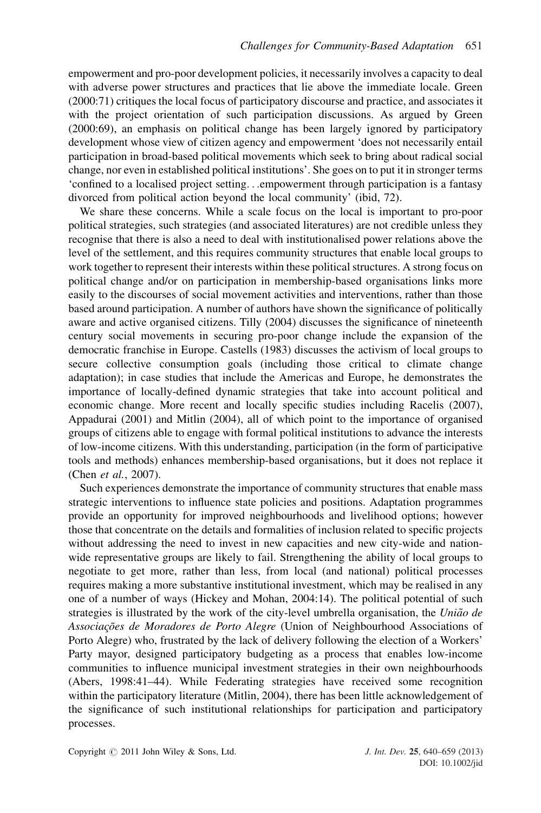empowerment and pro-poor development policies, it necessarily involves a capacity to deal with adverse power structures and practices that lie above the immediate locale. Green (2000:71) critiques the local focus of participatory discourse and practice, and associates it with the project orientation of such participation discussions. As argued by Green (2000:69), an emphasis on political change has been largely ignored by participatory development whose view of citizen agency and empowerment 'does not necessarily entail participation in broad-based political movements which seek to bring about radical social change, nor even in established political institutions'. She goes on to put it in stronger terms 'confined to a localised project setting...empowerment through participation is a fantasy divorced from political action beyond the local community' (ibid, 72).

We share these concerns. While a scale focus on the local is important to pro-poor political strategies, such strategies (and associated literatures) are not credible unless they recognise that there is also a need to deal with institutionalised power relations above the level of the settlement, and this requires community structures that enable local groups to work together to represent their interests within these political structures. A strong focus on political change and/or on participation in membership-based organisations links more easily to the discourses of social movement activities and interventions, rather than those based around participation. A number of authors have shown the significance of politically aware and active organised citizens. Tilly (2004) discusses the significance of nineteenth century social movements in securing pro-poor change include the expansion of the democratic franchise in Europe. Castells (1983) discusses the activism of local groups to secure collective consumption goals (including those critical to climate change adaptation); in case studies that include the Americas and Europe, he demonstrates the importance of locally-defined dynamic strategies that take into account political and economic change. More recent and locally specific studies including Racelis (2007), Appadurai (2001) and Mitlin (2004), all of which point to the importance of organised groups of citizens able to engage with formal political institutions to advance the interests of low-income citizens. With this understanding, participation (in the form of participative tools and methods) enhances membership-based organisations, but it does not replace it (Chen et al., 2007).

Such experiences demonstrate the importance of community structures that enable mass strategic interventions to influence state policies and positions. Adaptation programmes provide an opportunity for improved neighbourhoods and livelihood options; however those that concentrate on the details and formalities of inclusion related to specific projects without addressing the need to invest in new capacities and new city-wide and nationwide representative groups are likely to fail. Strengthening the ability of local groups to negotiate to get more, rather than less, from local (and national) political processes requires making a more substantive institutional investment, which may be realised in any one of a number of ways (Hickey and Mohan, 2004:14). The political potential of such strategies is illustrated by the work of the city-level umbrella organisation, the União de Associações de Moradores de Porto Alegre (Union of Neighbourhood Associations of Porto Alegre) who, frustrated by the lack of delivery following the election of a Workers' Party mayor, designed participatory budgeting as a process that enables low-income communities to influence municipal investment strategies in their own neighbourhoods (Abers, 1998:41–44). While Federating strategies have received some recognition within the participatory literature (Mitlin, 2004), there has been little acknowledgement of the significance of such institutional relationships for participation and participatory processes.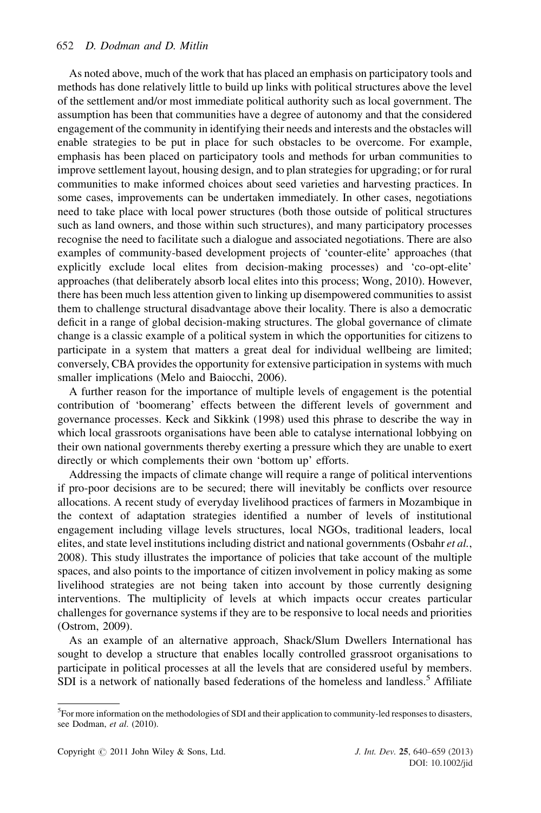#### 652 D. Dodman and D. Mitlin

As noted above, much of the work that has placed an emphasis on participatory tools and methods has done relatively little to build up links with political structures above the level of the settlement and/or most immediate political authority such as local government. The assumption has been that communities have a degree of autonomy and that the considered engagement of the community in identifying their needs and interests and the obstacles will enable strategies to be put in place for such obstacles to be overcome. For example, emphasis has been placed on participatory tools and methods for urban communities to improve settlement layout, housing design, and to plan strategies for upgrading; or for rural communities to make informed choices about seed varieties and harvesting practices. In some cases, improvements can be undertaken immediately. In other cases, negotiations need to take place with local power structures (both those outside of political structures such as land owners, and those within such structures), and many participatory processes recognise the need to facilitate such a dialogue and associated negotiations. There are also examples of community-based development projects of 'counter-elite' approaches (that explicitly exclude local elites from decision-making processes) and 'co-opt-elite' approaches (that deliberately absorb local elites into this process; Wong, 2010). However, there has been much less attention given to linking up disempowered communities to assist them to challenge structural disadvantage above their locality. There is also a democratic deficit in a range of global decision-making structures. The global governance of climate change is a classic example of a political system in which the opportunities for citizens to participate in a system that matters a great deal for individual wellbeing are limited; conversely, CBA provides the opportunity for extensive participation in systems with much smaller implications (Melo and Baiocchi, 2006).

A further reason for the importance of multiple levels of engagement is the potential contribution of 'boomerang' effects between the different levels of government and governance processes. Keck and Sikkink (1998) used this phrase to describe the way in which local grassroots organisations have been able to catalyse international lobbying on their own national governments thereby exerting a pressure which they are unable to exert directly or which complements their own 'bottom up' efforts.

Addressing the impacts of climate change will require a range of political interventions if pro-poor decisions are to be secured; there will inevitably be conflicts over resource allocations. A recent study of everyday livelihood practices of farmers in Mozambique in the context of adaptation strategies identified a number of levels of institutional engagement including village levels structures, local NGOs, traditional leaders, local elites, and state level institutions including district and national governments (Osbahr et al., 2008). This study illustrates the importance of policies that take account of the multiple spaces, and also points to the importance of citizen involvement in policy making as some livelihood strategies are not being taken into account by those currently designing interventions. The multiplicity of levels at which impacts occur creates particular challenges for governance systems if they are to be responsive to local needs and priorities (Ostrom, 2009).

As an example of an alternative approach, Shack/Slum Dwellers International has sought to develop a structure that enables locally controlled grassroot organisations to participate in political processes at all the levels that are considered useful by members. SDI is a network of nationally based federations of the homeless and landless.<sup>5</sup> Affiliate

<sup>&</sup>lt;sup>5</sup> For more information on the methodologies of SDI and their application to community-led responses to disasters, see Dodman, et al. (2010).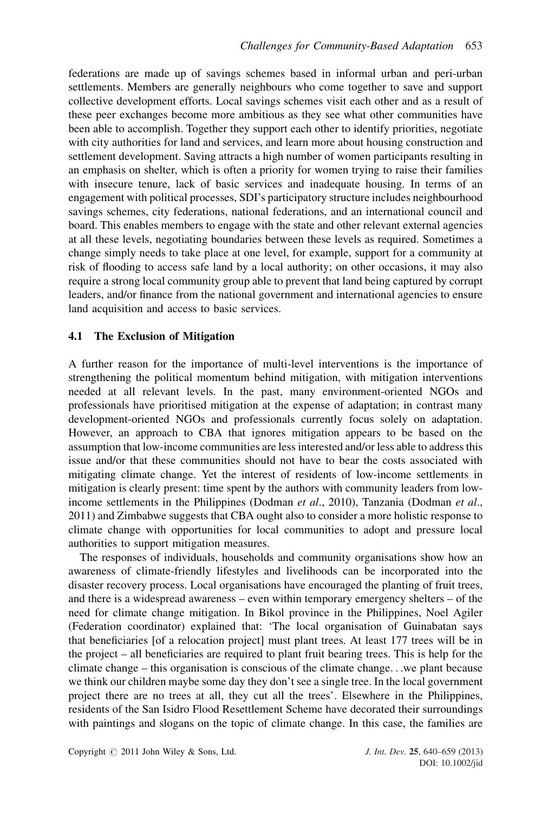federations are made up of savings schemes based in informal urban and peri-urban settlements. Members are generally neighbours who come together to save and support collective development efforts. Local savings schemes visit each other and as a result of these peer exchanges become more ambitious as they see what other communities have been able to accomplish. Together they support each other to identify priorities, negotiate with city authorities for land and services, and learn more about housing construction and settlement development. Saving attracts a high number of women participants resulting in an emphasis on shelter, which is often a priority for women trying to raise their families with insecure tenure, lack of basic services and inadequate housing. In terms of an engagement with political processes, SDI's participatory structure includes neighbourhood savings schemes, city federations, national federations, and an international council and board. This enables members to engage with the state and other relevant external agencies at all these levels, negotiating boundaries between these levels as required. Sometimes a change simply needs to take place at one level, for example, support for a community at risk of flooding to access safe land by a local authority; on other occasions, it may also require a strong local community group able to prevent that land being captured by corrupt leaders, and/or finance from the national government and international agencies to ensure land acquisition and access to basic services.

## 4.1 The Exclusion of Mitigation

A further reason for the importance of multi-level interventions is the importance of strengthening the political momentum behind mitigation, with mitigation interventions needed at all relevant levels. In the past, many environment-oriented NGOs and professionals have prioritised mitigation at the expense of adaptation; in contrast many development-oriented NGOs and professionals currently focus solely on adaptation. However, an approach to CBA that ignores mitigation appears to be based on the assumption that low-income communities are less interested and/or less able to address this issue and/or that these communities should not have to bear the costs associated with mitigating climate change. Yet the interest of residents of low-income settlements in mitigation is clearly present: time spent by the authors with community leaders from lowincome settlements in the Philippines (Dodman et al., 2010), Tanzania (Dodman et al., 2011) and Zimbabwe suggests that CBA ought also to consider a more holistic response to climate change with opportunities for local communities to adopt and pressure local authorities to support mitigation measures.

The responses of individuals, households and community organisations show how an awareness of climate-friendly lifestyles and livelihoods can be incorporated into the disaster recovery process. Local organisations have encouraged the planting of fruit trees, and there is a widespread awareness – even within temporary emergency shelters – of the need for climate change mitigation. In Bikol province in the Philippines, Noel Agiler (Federation coordinator) explained that: 'The local organisation of Guinabatan says that beneficiaries [of a relocation project] must plant trees. At least 177 trees will be in the project – all beneficiaries are required to plant fruit bearing trees. This is help for the climate change – this organisation is conscious of the climate change...we plant because we think our children maybe some day they don't see a single tree. In the local government project there are no trees at all, they cut all the trees'. Elsewhere in the Philippines, residents of the San Isidro Flood Resettlement Scheme have decorated their surroundings with paintings and slogans on the topic of climate change. In this case, the families are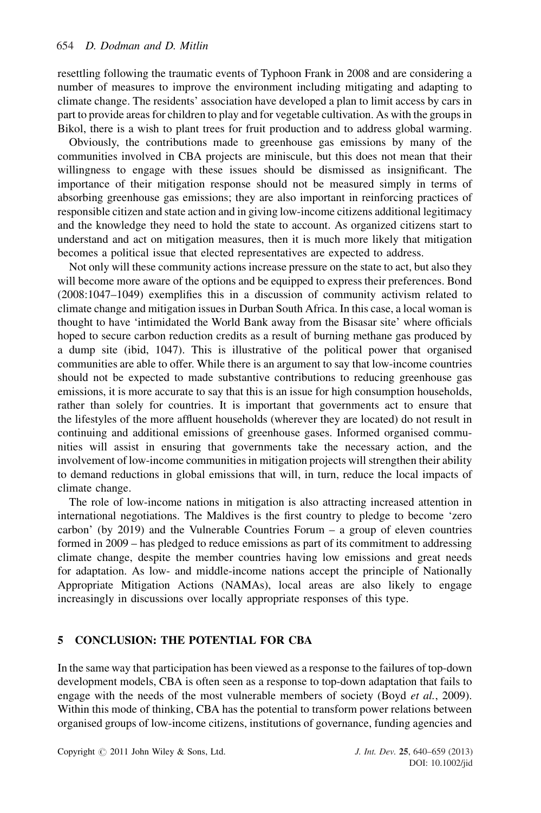resettling following the traumatic events of Typhoon Frank in 2008 and are considering a number of measures to improve the environment including mitigating and adapting to climate change. The residents' association have developed a plan to limit access by cars in part to provide areas for children to play and for vegetable cultivation. As with the groups in Bikol, there is a wish to plant trees for fruit production and to address global warming.

Obviously, the contributions made to greenhouse gas emissions by many of the communities involved in CBA projects are miniscule, but this does not mean that their willingness to engage with these issues should be dismissed as insignificant. The importance of their mitigation response should not be measured simply in terms of absorbing greenhouse gas emissions; they are also important in reinforcing practices of responsible citizen and state action and in giving low-income citizens additional legitimacy and the knowledge they need to hold the state to account. As organized citizens start to understand and act on mitigation measures, then it is much more likely that mitigation becomes a political issue that elected representatives are expected to address.

Not only will these community actions increase pressure on the state to act, but also they will become more aware of the options and be equipped to express their preferences. Bond (2008:1047–1049) exemplifies this in a discussion of community activism related to climate change and mitigation issues in Durban South Africa. In this case, a local woman is thought to have 'intimidated the World Bank away from the Bisasar site' where officials hoped to secure carbon reduction credits as a result of burning methane gas produced by a dump site (ibid, 1047). This is illustrative of the political power that organised communities are able to offer. While there is an argument to say that low-income countries should not be expected to made substantive contributions to reducing greenhouse gas emissions, it is more accurate to say that this is an issue for high consumption households, rather than solely for countries. It is important that governments act to ensure that the lifestyles of the more affluent households (wherever they are located) do not result in continuing and additional emissions of greenhouse gases. Informed organised communities will assist in ensuring that governments take the necessary action, and the involvement of low-income communities in mitigation projects will strengthen their ability to demand reductions in global emissions that will, in turn, reduce the local impacts of climate change.

The role of low-income nations in mitigation is also attracting increased attention in international negotiations. The Maldives is the first country to pledge to become 'zero carbon' (by 2019) and the Vulnerable Countries Forum – a group of eleven countries formed in 2009 – has pledged to reduce emissions as part of its commitment to addressing climate change, despite the member countries having low emissions and great needs for adaptation. As low- and middle-income nations accept the principle of Nationally Appropriate Mitigation Actions (NAMAs), local areas are also likely to engage increasingly in discussions over locally appropriate responses of this type.

## 5 CONCLUSION: THE POTENTIAL FOR CBA

In the same way that participation has been viewed as a response to the failures of top-down development models, CBA is often seen as a response to top-down adaptation that fails to engage with the needs of the most vulnerable members of society (Boyd *et al.*, 2009). Within this mode of thinking, CBA has the potential to transform power relations between organised groups of low-income citizens, institutions of governance, funding agencies and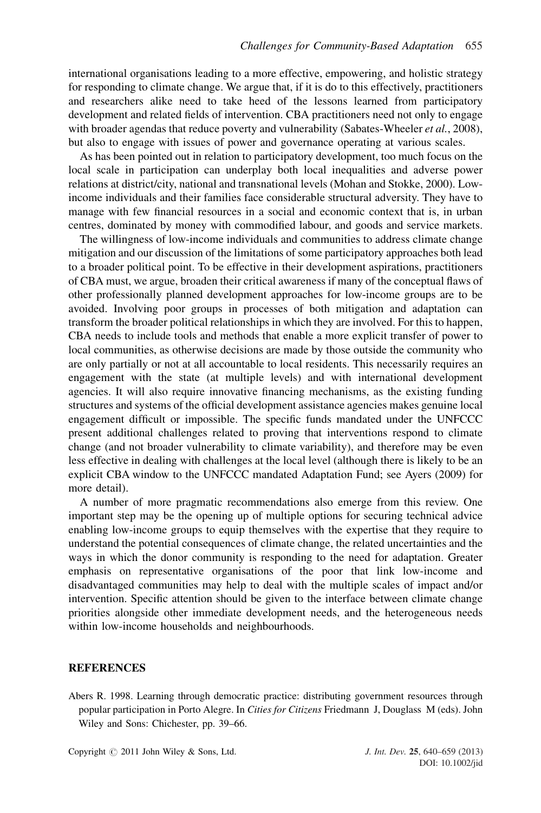international organisations leading to a more effective, empowering, and holistic strategy for responding to climate change. We argue that, if it is do to this effectively, practitioners and researchers alike need to take heed of the lessons learned from participatory development and related fields of intervention. CBA practitioners need not only to engage with broader agendas that reduce poverty and vulnerability (Sabates-Wheeler *et al.*, 2008), but also to engage with issues of power and governance operating at various scales.

As has been pointed out in relation to participatory development, too much focus on the local scale in participation can underplay both local inequalities and adverse power relations at district/city, national and transnational levels (Mohan and Stokke, 2000). Lowincome individuals and their families face considerable structural adversity. They have to manage with few financial resources in a social and economic context that is, in urban centres, dominated by money with commodified labour, and goods and service markets.

The willingness of low-income individuals and communities to address climate change mitigation and our discussion of the limitations of some participatory approaches both lead to a broader political point. To be effective in their development aspirations, practitioners of CBA must, we argue, broaden their critical awareness if many of the conceptual flaws of other professionally planned development approaches for low-income groups are to be avoided. Involving poor groups in processes of both mitigation and adaptation can transform the broader political relationships in which they are involved. For this to happen, CBA needs to include tools and methods that enable a more explicit transfer of power to local communities, as otherwise decisions are made by those outside the community who are only partially or not at all accountable to local residents. This necessarily requires an engagement with the state (at multiple levels) and with international development agencies. It will also require innovative financing mechanisms, as the existing funding structures and systems of the official development assistance agencies makes genuine local engagement difficult or impossible. The specific funds mandated under the UNFCCC present additional challenges related to proving that interventions respond to climate change (and not broader vulnerability to climate variability), and therefore may be even less effective in dealing with challenges at the local level (although there is likely to be an explicit CBA window to the UNFCCC mandated Adaptation Fund; see Ayers (2009) for more detail).

A number of more pragmatic recommendations also emerge from this review. One important step may be the opening up of multiple options for securing technical advice enabling low-income groups to equip themselves with the expertise that they require to understand the potential consequences of climate change, the related uncertainties and the ways in which the donor community is responding to the need for adaptation. Greater emphasis on representative organisations of the poor that link low-income and disadvantaged communities may help to deal with the multiple scales of impact and/or intervention. Specific attention should be given to the interface between climate change priorities alongside other immediate development needs, and the heterogeneous needs within low-income households and neighbourhoods.

## **REFERENCES**

Abers R. 1998. Learning through democratic practice: distributing government resources through popular participation in Porto Alegre. In Cities for Citizens Friedmann J, Douglass M (eds). John Wiley and Sons: Chichester, pp. 39–66.

Copyright  $\odot$  2011 John Wiley & Sons, Ltd.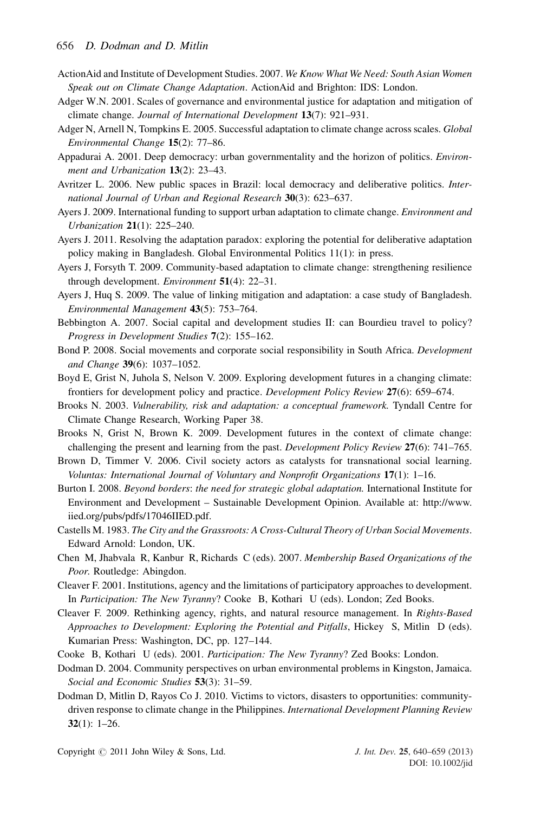- ActionAid and Institute of Development Studies. 2007. We Know What We Need: South Asian Women Speak out on Climate Change Adaptation. ActionAid and Brighton: IDS: London.
- Adger W.N. 2001. Scales of governance and environmental justice for adaptation and mitigation of climate change. Journal of International Development 13(7): 921-931.
- Adger N, Arnell N, Tompkins E. 2005. Successful adaptation to climate change across scales. Global Environmental Change 15(2): 77–86.
- Appadurai A. 2001. Deep democracy: urban governmentality and the horizon of politics. *Environ*ment and Urbanization 13(2): 23-43.
- Avritzer L. 2006. New public spaces in Brazil: local democracy and deliberative politics. International Journal of Urban and Regional Research 30(3): 623-637.
- Ayers J. 2009. International funding to support urban adaptation to climate change. *Environment and* Urbanization 21(1): 225–240.
- Ayers J. 2011. Resolving the adaptation paradox: exploring the potential for deliberative adaptation policy making in Bangladesh. Global Environmental Politics 11(1): in press.
- Ayers J, Forsyth T. 2009. Community-based adaptation to climate change: strengthening resilience through development. *Environment*  $\mathbf{51}(4)$ : 22–31.
- Ayers J, Huq S. 2009. The value of linking mitigation and adaptation: a case study of Bangladesh. Environmental Management 43(5): 753–764.
- Bebbington A. 2007. Social capital and development studies II: can Bourdieu travel to policy? Progress in Development Studies 7(2): 155–162.
- Bond P. 2008. Social movements and corporate social responsibility in South Africa. Development and Change 39(6): 1037–1052.
- Boyd E, Grist N, Juhola S, Nelson V. 2009. Exploring development futures in a changing climate: frontiers for development policy and practice. Development Policy Review 27(6): 659–674.
- Brooks N. 2003. Vulnerability, risk and adaptation: a conceptual framework. Tyndall Centre for Climate Change Research, Working Paper 38.
- Brooks N, Grist N, Brown K. 2009. Development futures in the context of climate change: challenging the present and learning from the past. Development Policy Review 27(6): 741–765.
- Brown D, Timmer V. 2006. Civil society actors as catalysts for transnational social learning. Voluntas: International Journal of Voluntary and Nonprofit Organizations 17(1): 1–16.
- Burton I. 2008. Beyond borders: the need for strategic global adaptation. International Institute for Environment and Development – Sustainable Development Opinion. Available at: http://www. iied.org/pubs/pdfs/17046IIED.pdf.
- Castells M. 1983. The City and the Grassroots: A Cross-Cultural Theory of Urban Social Movements. Edward Arnold: London, UK.
- Chen M, Jhabvala R, Kanbur R, Richards C (eds). 2007. Membership Based Organizations of the Poor. Routledge: Abingdon.
- Cleaver F. 2001. Institutions, agency and the limitations of participatory approaches to development. In Participation: The New Tyranny? Cooke B, Kothari U (eds). London; Zed Books.
- Cleaver F. 2009. Rethinking agency, rights, and natural resource management. In Rights-Based Approaches to Development: Exploring the Potential and Pitfalls, Hickey S, Mitlin D (eds). Kumarian Press: Washington, DC, pp. 127–144.
- Cooke B, Kothari U (eds). 2001. Participation: The New Tyranny? Zed Books: London.
- Dodman D. 2004. Community perspectives on urban environmental problems in Kingston, Jamaica. Social and Economic Studies **53**(3): 31–59.
- Dodman D, Mitlin D, Rayos Co J. 2010. Victims to victors, disasters to opportunities: communitydriven response to climate change in the Philippines. International Development Planning Review 32(1): 1–26.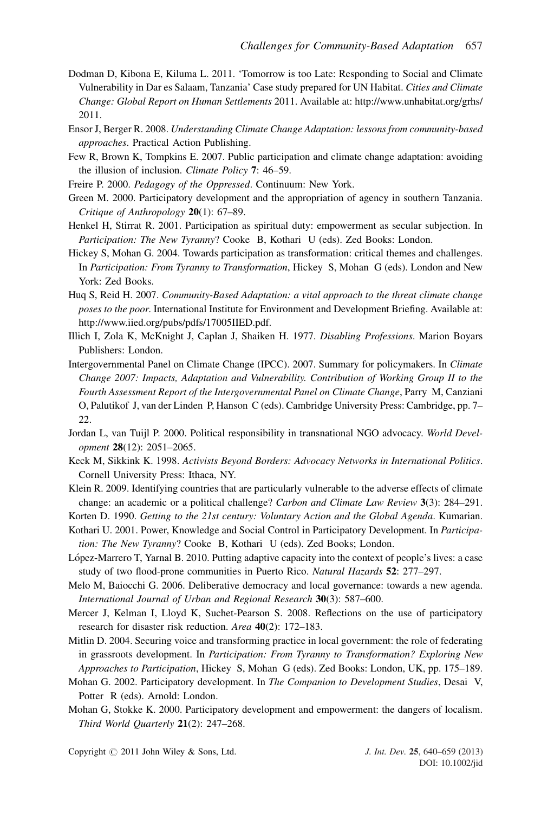- Dodman D, Kibona E, Kiluma L. 2011. 'Tomorrow is too Late: Responding to Social and Climate Vulnerability in Dar es Salaam, Tanzania' Case study prepared for UN Habitat. Cities and Climate Change: Global Report on Human Settlements 2011. Available at: http://www.unhabitat.org/grhs/ 2011.
- Ensor J, Berger R. 2008. Understanding Climate Change Adaptation: lessons from community-based approaches. Practical Action Publishing.
- Few R, Brown K, Tompkins E. 2007. Public participation and climate change adaptation: avoiding the illusion of inclusion. Climate Policy 7: 46–59.
- Freire P. 2000. Pedagogy of the Oppressed. Continuum: New York.
- Green M. 2000. Participatory development and the appropriation of agency in southern Tanzania. Critique of Anthropology 20(1): 67–89.
- Henkel H, Stirrat R. 2001. Participation as spiritual duty: empowerment as secular subjection. In Participation: The New Tyranny? Cooke B, Kothari U (eds). Zed Books: London.
- Hickey S, Mohan G. 2004. Towards participation as transformation: critical themes and challenges. In Participation: From Tyranny to Transformation, Hickey S, Mohan G (eds). London and New York: Zed Books.
- Hug S, Reid H. 2007. Community-Based Adaptation: a vital approach to the threat climate change poses to the poor. International Institute for Environment and Development Briefing. Available at: http://www.iied.org/pubs/pdfs/17005IIED.pdf.
- Illich I, Zola K, McKnight J, Caplan J, Shaiken H. 1977. Disabling Professions. Marion Boyars Publishers: London.
- Intergovernmental Panel on Climate Change (IPCC). 2007. Summary for policymakers. In Climate Change 2007: Impacts, Adaptation and Vulnerability. Contribution of Working Group II to the Fourth Assessment Report of the Intergovernmental Panel on Climate Change, Parry M, Canziani O, Palutikof J, van der Linden P, Hanson C (eds). Cambridge University Press: Cambridge, pp. 7– 22.
- Jordan L, van Tuijl P. 2000. Political responsibility in transnational NGO advocacy. World Development 28(12): 2051–2065.
- Keck M, Sikkink K. 1998. Activists Beyond Borders: Advocacy Networks in International Politics. Cornell University Press: Ithaca, NY.
- Klein R. 2009. Identifying countries that are particularly vulnerable to the adverse effects of climate change: an academic or a political challenge? Carbon and Climate Law Review 3(3): 284–291.
- Korten D. 1990. Getting to the 21st century: Voluntary Action and the Global Agenda. Kumarian.
- Kothari U. 2001. Power, Knowledge and Social Control in Participatory Development. In Participation: The New Tyranny? Cooke B, Kothari U (eds). Zed Books; London.
- Lo´pez-Marrero T, Yarnal B. 2010. Putting adaptive capacity into the context of people's lives: a case study of two flood-prone communities in Puerto Rico. Natural Hazards 52: 277–297.
- Melo M, Baiocchi G. 2006. Deliberative democracy and local governance: towards a new agenda. International Journal of Urban and Regional Research 30(3): 587–600.
- Mercer J, Kelman I, Lloyd K, Suchet-Pearson S. 2008. Reflections on the use of participatory research for disaster risk reduction. Area 40(2): 172–183.

Mitlin D. 2004. Securing voice and transforming practice in local government: the role of federating in grassroots development. In Participation: From Tyranny to Transformation? Exploring New Approaches to Participation, Hickey S, Mohan G (eds). Zed Books: London, UK, pp. 175–189.

- Mohan G. 2002. Participatory development. In The Companion to Development Studies, Desai V, Potter R (eds). Arnold: London.
- Mohan G, Stokke K. 2000. Participatory development and empowerment: the dangers of localism. Third World Quarterly 21(2): 247–268.

Copyright  $\odot$  2011 John Wiley & Sons, Ltd.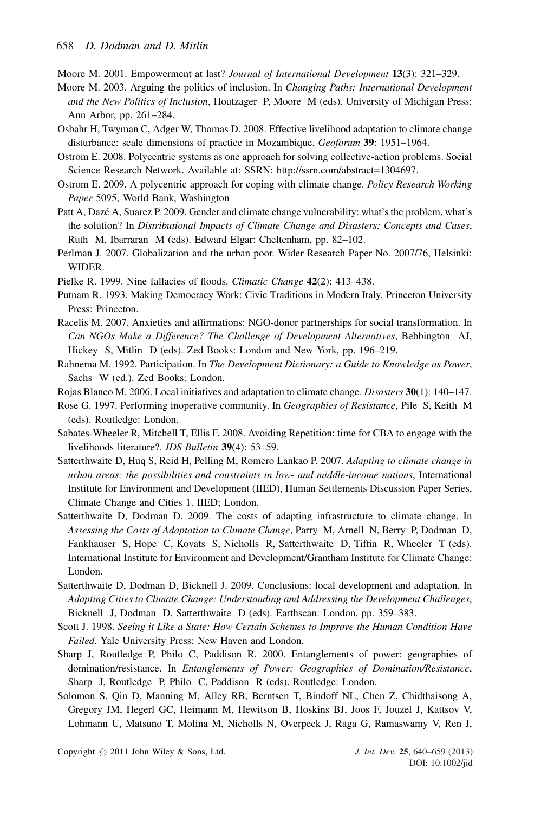- Moore M. 2001. Empowerment at last? Journal of International Development 13(3): 321-329.
- Moore M. 2003. Arguing the politics of inclusion. In *Changing Paths: International Development* and the New Politics of Inclusion, Houtzager P, Moore M (eds). University of Michigan Press: Ann Arbor, pp. 261–284.
- Osbahr H, Twyman C, Adger W, Thomas D. 2008. Effective livelihood adaptation to climate change disturbance: scale dimensions of practice in Mozambique. Geoforum 39: 1951-1964.
- Ostrom E. 2008. Polycentric systems as one approach for solving collective-action problems. Social Science Research Network. Available at: SSRN: http://ssrn.com/abstract=1304697.
- Ostrom E. 2009. A polycentric approach for coping with climate change. Policy Research Working Paper 5095, World Bank, Washington
- Patt A, Dazé A, Suarez P. 2009. Gender and climate change vulnerability: what's the problem, what's the solution? In Distributional Impacts of Climate Change and Disasters: Concepts and Cases, Ruth M, Ibarraran M (eds). Edward Elgar: Cheltenham, pp. 82–102.
- Perlman J. 2007. Globalization and the urban poor. Wider Research Paper No. 2007/76, Helsinki: WIDER.
- Pielke R. 1999. Nine fallacies of floods. Climatic Change 42(2): 413–438.
- Putnam R. 1993. Making Democracy Work: Civic Traditions in Modern Italy. Princeton University Press: Princeton.
- Racelis M. 2007. Anxieties and affirmations: NGO-donor partnerships for social transformation. In Can NGOs Make a Difference? The Challenge of Development Alternatives, Bebbington AJ, Hickey S, Mitlin D (eds). Zed Books: London and New York, pp. 196–219.
- Rahnema M. 1992. Participation. In The Development Dictionary: a Guide to Knowledge as Power, Sachs W (ed.). Zed Books: London.
- Rojas Blanco M. 2006. Local initiatives and adaptation to climate change. *Disasters* 30(1): 140–147.
- Rose G. 1997. Performing inoperative community. In Geographies of Resistance, Pile S, Keith M (eds). Routledge: London.
- Sabates-Wheeler R, Mitchell T, Ellis F. 2008. Avoiding Repetition: time for CBA to engage with the livelihoods literature?. IDS Bulletin 39(4): 53–59.
- Satterthwaite D, Huq S, Reid H, Pelling M, Romero Lankao P. 2007. Adapting to climate change in urban areas: the possibilities and constraints in low- and middle-income nations, International Institute for Environment and Development (IIED), Human Settlements Discussion Paper Series, Climate Change and Cities 1. IIED; London.
- Satterthwaite D, Dodman D. 2009. The costs of adapting infrastructure to climate change. In Assessing the Costs of Adaptation to Climate Change, Parry M, Arnell N, Berry P, Dodman D, Fankhauser S, Hope C, Kovats S, Nicholls R, Satterthwaite D, Tiffin R, Wheeler T (eds). International Institute for Environment and Development/Grantham Institute for Climate Change: London.
- Satterthwaite D, Dodman D, Bicknell J. 2009. Conclusions: local development and adaptation. In Adapting Cities to Climate Change: Understanding and Addressing the Development Challenges, Bicknell J, Dodman D, Satterthwaite D (eds). Earthscan: London, pp. 359–383.
- Scott J. 1998. Seeing it Like a State: How Certain Schemes to Improve the Human Condition Have Failed. Yale University Press: New Haven and London.
- Sharp J, Routledge P, Philo C, Paddison R. 2000. Entanglements of power: geographies of domination/resistance. In Entanglements of Power: Geographies of Domination/Resistance, Sharp J, Routledge P, Philo C, Paddison R (eds). Routledge: London.
- Solomon S, Qin D, Manning M, Alley RB, Berntsen T, Bindoff NL, Chen Z, Chidthaisong A, Gregory JM, Hegerl GC, Heimann M, Hewitson B, Hoskins BJ, Joos F, Jouzel J, Kattsov V, Lohmann U, Matsuno T, Molina M, Nicholls N, Overpeck J, Raga G, Ramaswamy V, Ren J,